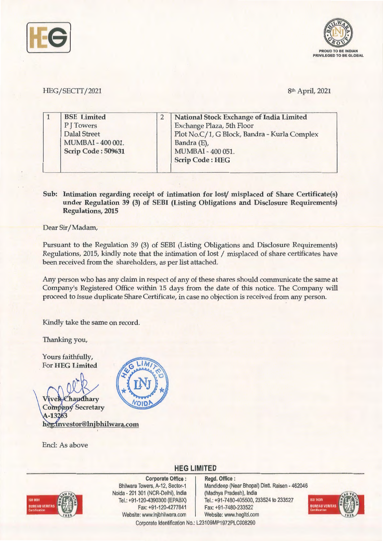



## HEG/SECTT/2021 8th April, 2021

| <b>BSE</b> Limited        | <b>National Stock Exchange of India Limited</b> |
|---------------------------|-------------------------------------------------|
| P J Towers                | Exchange Plaza, 5th Floor                       |
| Dalal Street              | Plot No.C/1, G Block, Bandra - Kurla Complex    |
| MUMBAI-400 001.           | Bandra (E),                                     |
| <b>Scrip Code: 509631</b> | MUMBAI - 400 051.                               |
|                           | <b>Scrip Code: HEG</b>                          |

## **Sub: Intimation regarding receipt of intimation for lost/ misplaced of Share Certificate(s) under Regulation 39 (3) of SEBI (Listing Obligations and Disclosure Requirements) Regulations, 2015**

Dear Sir/Madam,

Pursuant to the Regulation 39 (3) of SEBI (Listing Obligations and Disclosure Requirements) Regulations, 2015, kindly note that the intimation of lost / misplaced of share certificates have been received from the shareholders, as per list attached.

Any person who has any claim in respect of any of these shares should communicate the same at Company's Registered Office within 15 days from the date of this notice. The Company will proceed to issue duplicate Share Certificate, in case no objection is received from any person.

Kindly take the same on record.

Thanking you,

Yours faithfully, For **HEG Limited** 

haudhary **Company Secretary** 4-13263 heg.investor@lnjbhilwara.com

Encl: As above



## **HEG LIMITED**



**Corporate Office** : Bhilwara Towers, A-12, Sector-1 Naida - 201 301 (NCR-Delhi), India Tel.: +91 -120-4390300 (EPABX) Fax: +91 -120-4277841 Website: www.lnjbhilwara.com | Website: www.hegltd.com

**Regd. Office** : Mandideep (Near Bhopal) Distt. Raisen - 462046 (Madhya Pradesh), India Tel.: +91 -7480-405500, 233524 to 233527 Fax: +91 -7480-233522



Corporate Identification No.: L23109MP1972PLC008290